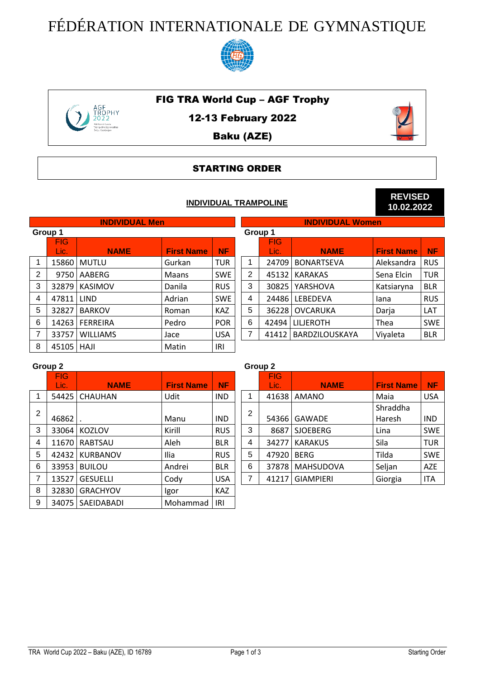## FÉDÉRATION INTERNATIONALE DE GYMNASTIQUE



#### FIG TRA World Cup – AGF Trophy



12-13 February 2022

#### Baku (AZE)

#### STARTING ORDER

#### **INDIVIDUAL TRAMPOLINE**



**REVISED 10.02.2022**

|                | <b>INDIVIDUAL Men</b> |                 |                   |            |                | <b>INDIVIDUAL WOMEN</b> |                   |                   |            |  |
|----------------|-----------------------|-----------------|-------------------|------------|----------------|-------------------------|-------------------|-------------------|------------|--|
|                | Group 1               |                 |                   |            | Group 1        |                         |                   |                   |            |  |
|                | <b>FIG</b>            |                 |                   |            |                | <b>FIG</b>              |                   |                   |            |  |
|                | Lic.                  | <b>NAME</b>     | <b>First Name</b> | <b>NF</b>  |                | Lic.                    | <b>NAME</b>       | <b>First Name</b> | <b>NF</b>  |  |
|                | 15860                 | <b>MUTLU</b>    | Gurkan            | <b>TUR</b> |                | 24709                   | <b>BONARTSEVA</b> | Aleksandra        | <b>RUS</b> |  |
| $\overline{2}$ | 9750                  | AABERG          | Maans             | <b>SWE</b> | $\overline{2}$ | 45132                   | <b>KARAKAS</b>    | Sena Elcin        | <b>TUR</b> |  |
| 3              | 32879                 | KASIMOV         | Danila            | <b>RUS</b> | 3              | 30825                   | YARSHOVA          | Katsiaryna        | <b>BLR</b> |  |
| 4              | 47811                 | <b>LIND</b>     | Adrian            | <b>SWE</b> | 4              | 24486                   | LEBEDEVA          | lana              | <b>RUS</b> |  |
| 5              | 32827                 | <b>BARKOV</b>   | Roman             | <b>KAZ</b> | 5              | 36228                   | <b>OVCARUKA</b>   | Darja             | LAT        |  |
| 6              | 14263                 | <b>FERREIRA</b> | Pedro             | <b>POR</b> | 6              | 42494                   | <b>LILJEROTH</b>  | Thea              | <b>SWE</b> |  |
| 7              | 33757                 | <b>WILLIAMS</b> | Jace              | <b>USA</b> | 7              | 41412                   | BARDZILOUSKAYA    | Viyaleta          | <b>BLR</b> |  |
| 8              | 45105                 | HAJI            | Matin             | IRI        |                |                         |                   |                   |            |  |

# **INDIVIDUAL Men INDIVIDUAL Women** Lic. **NAME First Name NF** BONARTSEVA | Aleksandra RUS BARDZILOUSKAYA Viyaleta BLR

#### **Group 2 Group 2**

|   | <b>FIG</b><br>Lic. | <b>NAME</b>     | <b>First Name</b> | <b>NF</b>  |   | <b>FIG</b><br>Lic. | <b>NAME</b>      | <b>First Name</b> | <b>NF</b>  |
|---|--------------------|-----------------|-------------------|------------|---|--------------------|------------------|-------------------|------------|
|   | 54425              | <b>CHAUHAN</b>  | Udit              | <b>IND</b> | 1 | 41638              | AMANO            | Maia              | <b>USA</b> |
| 2 |                    |                 |                   |            | 2 |                    |                  | Shraddha          |            |
|   | 46862              |                 | Manu              | <b>IND</b> |   | 54366              | GAWADE           | Haresh            | <b>IND</b> |
| 3 | 33064              | <b>KOZLOV</b>   | Kirill            | <b>RUS</b> | 3 | 8687               | <b>SJOEBERG</b>  | Lina              | <b>SWE</b> |
| 4 | 11670              | <b>RABTSAU</b>  | Aleh              | <b>BLR</b> | 4 | 34277              | <b>KARAKUS</b>   | Sila              | <b>TUR</b> |
| 5 | 42432              | <b>KURBANOV</b> | Ilia              | <b>RUS</b> | 5 | 47920              | <b>BERG</b>      | Tilda             | <b>SWE</b> |
| 6 | 33953              | <b>BUILOU</b>   | Andrei            | <b>BLR</b> | 6 | 37878              | <b>MAHSUDOVA</b> | Seljan            | <b>AZE</b> |
| 7 | 13527              | <b>GESUELLI</b> | Cody              | <b>USA</b> | 7 | 41217              | <b>GIAMPIERI</b> | Giorgia           | <b>ITA</b> |
| 8 | 32830              | <b>GRACHYOV</b> | Igor              | <b>KAZ</b> |   |                    |                  |                   |            |
| 9 | 34075              | SAEIDABADI      | Mohammad          | IRI        |   |                    |                  |                   |            |

### FIG Lic. **NAME First Name NF** 1 41638 AMANO Naia VISA 54366 GAWADE Shraddha Haresh IND 3 8687 SJOEBERG Lina SWE 6 37878 MAHSUDOVA Seljan AZE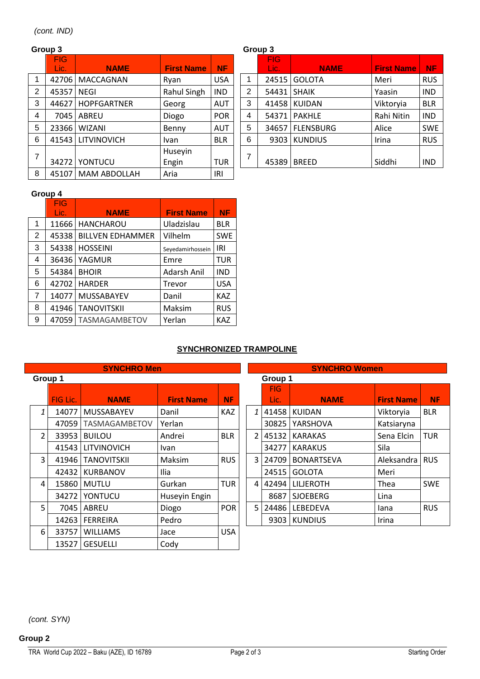|                | Group 3            |                     |                   |            |  |   | Group 3            |                  |                   |            |
|----------------|--------------------|---------------------|-------------------|------------|--|---|--------------------|------------------|-------------------|------------|
|                | <b>FIG</b><br>Lic. | <b>NAME</b>         | <b>First Name</b> | <b>NF</b>  |  |   | <b>FIG</b><br>Lic. | <b>NAME</b>      | <b>First Name</b> | <b>NF</b>  |
|                | 42706              | MACCAGNAN           | Ryan              | <b>USA</b> |  | 1 | 24515              | <b>GOLOTA</b>    | Meri              | <b>RUS</b> |
| $\overline{2}$ | 45357              | <b>NEGI</b>         | Rahul Singh       | <b>IND</b> |  | 2 | 54431              | <b>SHAIK</b>     | Yaasin            | <b>IND</b> |
| 3              | 44627              | <b>HOPFGARTNER</b>  | Georg             | <b>AUT</b> |  | 3 | 41458              | <b>KUIDAN</b>    | Viktoryia         | <b>BLR</b> |
| 4              | 7045               | <b>ABREU</b>        | Diogo             | <b>POR</b> |  | 4 | 54371              | <b>PAKHLE</b>    | Rahi Nitin        | <b>IND</b> |
| 5              | 23366              | <b>WIZANI</b>       | Benny             | <b>AUT</b> |  | 5 | 34657              | <b>FLENSBURG</b> | Alice             | <b>SWE</b> |
| 6              | 41543              | LITVINOVICH         | Ivan              | <b>BLR</b> |  | 6 | 9303               | <b>KUNDIUS</b>   | Irina             | <b>RUS</b> |
| 7              |                    |                     | Huseyin           |            |  | 7 |                    |                  |                   |            |
|                | 34272              | YONTUCU             | Engin             | <b>TUR</b> |  |   | 45389              | <b>BREED</b>     | Siddhi            | <b>IND</b> |
| 8              | 45107              | <b>MAM ABDOLLAH</b> | Aria              | IRI        |  |   |                    |                  |                   |            |

#### **Group 3 Group 3**

|                | .                  |                  |                   |            |  |  |  |  |  |
|----------------|--------------------|------------------|-------------------|------------|--|--|--|--|--|
|                | <b>FIG</b><br>Lic. | <b>NAME</b>      | <b>First Name</b> | <b>NF</b>  |  |  |  |  |  |
| 1              | 24515              | <b>GOLOTA</b>    | Meri              | <b>RUS</b> |  |  |  |  |  |
| $\overline{2}$ | 54431              | <b>SHAIK</b>     | Yaasin            | <b>IND</b> |  |  |  |  |  |
| 3              | 41458              | <b>KUIDAN</b>    | Viktoryia         | <b>BLR</b> |  |  |  |  |  |
| 4              | 54371              | <b>PAKHLE</b>    | Rahi Nitin        | <b>IND</b> |  |  |  |  |  |
| 5              | 34657              | <b>FLENSBURG</b> | Alice             | <b>SWE</b> |  |  |  |  |  |
| 6              | 9303               | <b>KUNDIUS</b>   | Irina             | <b>RUS</b> |  |  |  |  |  |
| 7              | 45389              | <b>BREED</b>     | Siddhi            | IND        |  |  |  |  |  |

#### **Group 4**

|                | <b>FIG</b> |                         |                   |            |
|----------------|------------|-------------------------|-------------------|------------|
|                | Lic.       | <b>NAME</b>             | <b>First Name</b> | <b>NF</b>  |
| 1              | 11666      | <b>HANCHAROU</b>        | Uladzislau        | <b>BLR</b> |
| $\overline{2}$ | 45338      | <b>BILLVEN EDHAMMER</b> | Vilhelm           | <b>SWE</b> |
| 3              | 54338      | <b>HOSSEINI</b>         | Seyedamirhossein  | IRI        |
| 4              | 36436      | YAGMUR                  | Emre              | <b>TUR</b> |
| 5              | 54384      | <b>BHOIR</b>            | Adarsh Anil       | <b>IND</b> |
| 6              | 42702      | <b>HARDER</b>           | Trevor            | <b>USA</b> |
| $\overline{7}$ | 14077      | <b>MUSSABAYEV</b>       | Danil             | <b>KAZ</b> |
| 8              | 41946      | <b>TANOVITSKII</b>      | Maksim            | <b>RUS</b> |
| 9              | 47059      | <b>TASMAGAMBETOV</b>    | Yerlan            | <b>KAZ</b> |

#### **SYNCHRONIZED TRAMPOLINE**

|                | <b>SYNCHRO Men</b> |                    |                   |            |         |                         | <b>SYNCHRO Women</b> |                   |            |
|----------------|--------------------|--------------------|-------------------|------------|---------|-------------------------|----------------------|-------------------|------------|
|                | Group 1            |                    |                   |            | Group 1 |                         |                      |                   |            |
|                | FIG Lic.           | <b>NAME</b>        | <b>First Name</b> | <b>NF</b>  |         | FIG.<br>Lic.            | <b>NAME</b>          | <b>First Name</b> | <b>NF</b>  |
| 1              | 14077              | MUSSABAYEV         | Danil             | <b>KAZ</b> |         | 41458<br>1 <sup>1</sup> | <b>KUIDAN</b>        | Viktoryia         | <b>BLR</b> |
|                | 47059              | TASMAGAMBETOV      | Yerlan            |            |         | 30825                   | YARSHOVA             | Katsiaryna        |            |
| $\overline{2}$ | 33953              | <b>BUILOU</b>      | Andrei            | <b>BLR</b> |         | 2 <sup>1</sup><br>45132 | <b>KARAKAS</b>       | Sena Elcin        | <b>TUR</b> |
|                | 41543              | <b>LITVINOVICH</b> | Ivan              |            |         | 34277                   | <b>KARAKUS</b>       | Sila              |            |
| 3              | 41946              | <b>TANOVITSKII</b> | Maksim            | <b>RUS</b> |         | 3 24709                 | <b>BONARTSEVA</b>    | Aleksandra        | <b>RUS</b> |
|                | 42432              | <b>KURBANOV</b>    | Ilia              |            |         | 24515                   | <b>GOLOTA</b>        | Meri              |            |
| 4              | 15860              | <b>MUTLU</b>       | Gurkan            | <b>TUR</b> |         | 42494<br>$\overline{4}$ | LILJEROTH            | Thea              | <b>SWE</b> |
|                | 34272              | YONTUCU            | Huseyin Engin     |            |         | 8687                    | <b>SJOEBERG</b>      | Lina              |            |
| 5              | 7045               | ABREU              | Diogo             | <b>POR</b> |         | 5 I<br>24486            | LEBEDEVA             | lana              | <b>RUS</b> |
|                | 14263              | <b>FERREIRA</b>    | Pedro             |            |         | 9303                    | <b>KUNDIUS</b>       | Irina             |            |
| 6              | 33757              | <b>WILLIAMS</b>    | Jace              | <b>USA</b> |         |                         |                      |                   |            |
|                | 13527              | <b>GESUELLI</b>    | Cody              |            |         |                         |                      |                   |            |

|               | <b>SYNCHRO Women</b> |                   |                   |            |  |  |  |  |  |  |
|---------------|----------------------|-------------------|-------------------|------------|--|--|--|--|--|--|
|               | Group 1              |                   |                   |            |  |  |  |  |  |  |
|               | <b>FIG</b>           |                   |                   |            |  |  |  |  |  |  |
|               | Lic.                 | <b>NAME</b>       | <b>First Name</b> | <b>NF</b>  |  |  |  |  |  |  |
| 1             | 41458                | <b>KUIDAN</b>     | Viktoryia         | <b>BLR</b> |  |  |  |  |  |  |
|               | 30825                | YARSHOVA          | Katsiaryna        |            |  |  |  |  |  |  |
| $\mathcal{L}$ | 45132                | <b>KARAKAS</b>    | Sena Elcin        | <b>TUR</b> |  |  |  |  |  |  |
|               | 34277                | <b>KARAKUS</b>    | Sila              |            |  |  |  |  |  |  |
| 3             | 24709                | <b>BONARTSEVA</b> | Aleksandra        | <b>RUS</b> |  |  |  |  |  |  |
|               | 24515                | <b>GOLOTA</b>     | Meri              |            |  |  |  |  |  |  |
| 4             | 42494                | LILJEROTH         | Thea              | <b>SWE</b> |  |  |  |  |  |  |
|               | 8687                 | <b>SJOEBERG</b>   | Lina              |            |  |  |  |  |  |  |
| 5.            | 24486                | LEBEDEVA          | lana              | <b>RUS</b> |  |  |  |  |  |  |
|               | 9303                 | <b>KUNDIUS</b>    | Irina             |            |  |  |  |  |  |  |

*(cont. SYN)*